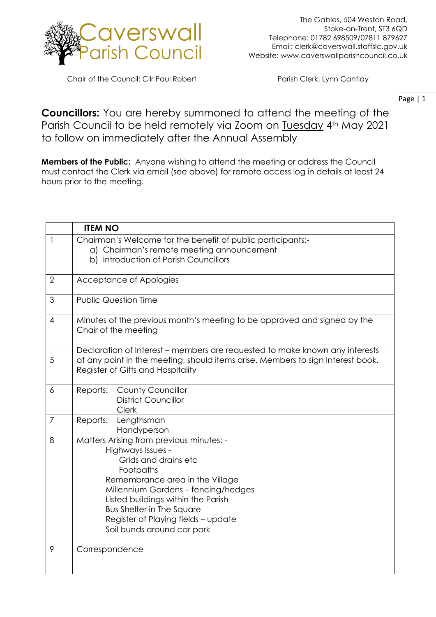

Chair of the Council: Cllr Paul Robert Parish Clerk: Lynn Cantlay

Page | 1

**Councillors:** You are hereby summoned to attend the meeting of the Parish Council to be held remotely via Zoom on Tuesday 4th May 2021 to follow on immediately after the Annual Assembly

**Members of the Public:** Anyone wishing to attend the meeting or address the Council must contact the Clerk via email (see above) for remote access log in details at least 24 hours prior to the meeting.

|                | <b>ITEM NO</b>                                                                                                                                                                                                                                                                                                              |
|----------------|-----------------------------------------------------------------------------------------------------------------------------------------------------------------------------------------------------------------------------------------------------------------------------------------------------------------------------|
| 1              | Chairman's Welcome for the benefit of public participants:-<br>a) Chairman's remote meeting announcement<br>b) Introduction of Parish Councillors                                                                                                                                                                           |
| $\overline{2}$ | Acceptance of Apologies                                                                                                                                                                                                                                                                                                     |
| 3              | <b>Public Question Time</b>                                                                                                                                                                                                                                                                                                 |
| 4              | Minutes of the previous month's meeting to be approved and signed by the<br>Chair of the meeting                                                                                                                                                                                                                            |
| 5              | Declaration of Interest – members are requested to make known any interests<br>at any point in the meeting, should items arise. Members to sign Interest book.<br>Register of Gifts and Hospitality                                                                                                                         |
| 6              | Reports: County Councillor<br><b>District Councillor</b><br><b>Clerk</b>                                                                                                                                                                                                                                                    |
| $\overline{7}$ | Reports:<br>Lengthsman<br>Handyperson                                                                                                                                                                                                                                                                                       |
| 8              | Matters Arising from previous minutes: -<br>Highways Issues -<br>Grids and drains etc<br>Footpaths<br>Remembrance area in the Village<br>Millennium Gardens - fencing/hedges<br>Listed buildings within the Parish<br><b>Bus Shelter in The Square</b><br>Register of Playing fields - update<br>Soil bunds around car park |
| 9              | Correspondence                                                                                                                                                                                                                                                                                                              |